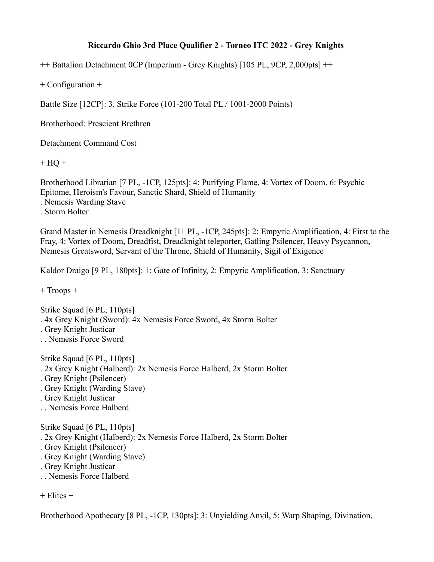## **Riccardo Ghio 3rd Place Qualifier 2 - Torneo ITC 2022 - Grey Knights**

++ Battalion Detachment 0CP (Imperium - Grey Knights) [105 PL, 9CP, 2,000pts] ++

+ Configuration +

Battle Size [12CP]: 3. Strike Force (101-200 Total PL / 1001-2000 Points)

Brotherhood: Prescient Brethren

Detachment Command Cost

 $+ HO +$ 

Brotherhood Librarian [7 PL, -1CP, 125pts]: 4: Purifying Flame, 4: Vortex of Doom, 6: Psychic Epitome, Heroism's Favour, Sanctic Shard, Shield of Humanity . Nemesis Warding Stave . Storm Bolter

Grand Master in Nemesis Dreadknight [11 PL, -1CP, 245pts]: 2: Empyric Amplification, 4: First to the Fray, 4: Vortex of Doom, Dreadfist, Dreadknight teleporter, Gatling Psilencer, Heavy Psycannon, Nemesis Greatsword, Servant of the Throne, Shield of Humanity, Sigil of Exigence

Kaldor Draigo [9 PL, 180pts]: 1: Gate of Infinity, 2: Empyric Amplification, 3: Sanctuary

+ Troops +

Strike Squad [6 PL, 110pts] . 4x Grey Knight (Sword): 4x Nemesis Force Sword, 4x Storm Bolter

- . Grey Knight Justicar
- . . Nemesis Force Sword

Strike Squad [6 PL, 110pts]

- . 2x Grey Knight (Halberd): 2x Nemesis Force Halberd, 2x Storm Bolter
- . Grey Knight (Psilencer)
- . Grey Knight (Warding Stave)
- . Grey Knight Justicar
- . . Nemesis Force Halberd

Strike Squad [6 PL, 110pts]

- . 2x Grey Knight (Halberd): 2x Nemesis Force Halberd, 2x Storm Bolter
- . Grey Knight (Psilencer)
- . Grey Knight (Warding Stave)
- . Grey Knight Justicar
- . . Nemesis Force Halberd

 $+$  Elites  $+$ 

Brotherhood Apothecary [8 PL, -1CP, 130pts]: 3: Unyielding Anvil, 5: Warp Shaping, Divination,